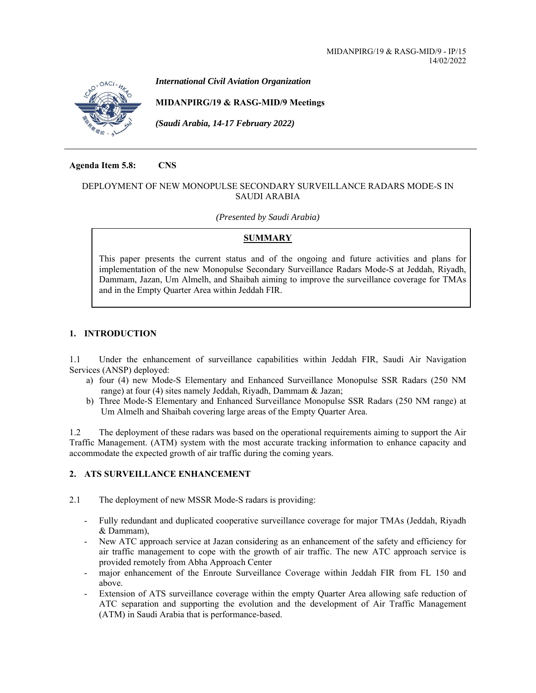

*International Civil Aviation Organization* 

## **MIDANPIRG/19 & RASG-MID/9 Meetings**

*(Saudi Arabia, 14-17 February 2022)* 

**Agenda Item 5.8: CNS** 

### DEPLOYMENT OF NEW MONOPULSE SECONDARY SURVEILLANCE RADARS MODE-S IN SAUDI ARABIA

#### *(Presented by Saudi Arabia)*

## **SUMMARY**

This paper presents the current status and of the ongoing and future activities and plans for implementation of the new Monopulse Secondary Surveillance Radars Mode-S at Jeddah, Riyadh, Dammam, Jazan, Um Almelh, and Shaibah aiming to improve the surveillance coverage for TMAs and in the Empty Quarter Area within Jeddah FIR.

# **1. INTRODUCTION**

1.1 Under the enhancement of surveillance capabilities within Jeddah FIR, Saudi Air Navigation Services (ANSP) deployed:

- a) four (4) new Mode-S Elementary and Enhanced Surveillance Monopulse SSR Radars (250 NM range) at four (4) sites namely Jeddah, Riyadh, Dammam & Jazan;
- b) Three Mode-S Elementary and Enhanced Surveillance Monopulse SSR Radars (250 NM range) at Um Almelh and Shaibah covering large areas of the Empty Quarter Area.

1.2 The deployment of these radars was based on the operational requirements aiming to support the Air Traffic Management. (ATM) system with the most accurate tracking information to enhance capacity and accommodate the expected growth of air traffic during the coming years.

## **2. ATS SURVEILLANCE ENHANCEMENT**

2.1 The deployment of new MSSR Mode-S radars is providing:

- Fully redundant and duplicated cooperative surveillance coverage for major TMAs (Jeddah, Riyadh & Dammam),
- New ATC approach service at Jazan considering as an enhancement of the safety and efficiency for air traffic management to cope with the growth of air traffic. The new ATC approach service is provided remotely from Abha Approach Center
- major enhancement of the Enroute Surveillance Coverage within Jeddah FIR from FL 150 and above.
- Extension of ATS surveillance coverage within the empty Quarter Area allowing safe reduction of ATC separation and supporting the evolution and the development of Air Traffic Management (ATM) in Saudi Arabia that is performance-based.